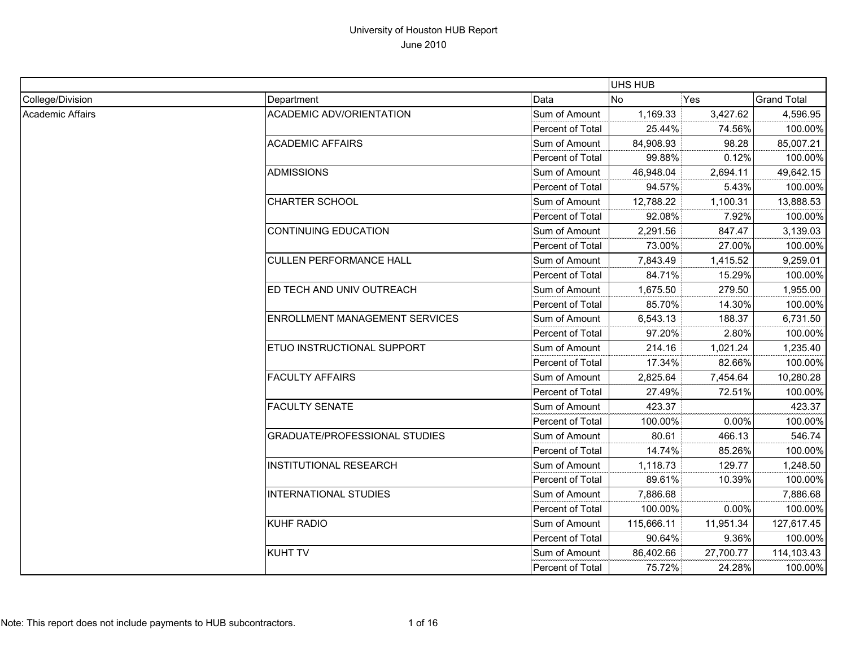|                         |                                       |                         | UHS HUB    |           |                    |
|-------------------------|---------------------------------------|-------------------------|------------|-----------|--------------------|
| College/Division        | Department                            | Data                    | No         | Yes       | <b>Grand Total</b> |
| <b>Academic Affairs</b> | <b>ACADEMIC ADV/ORIENTATION</b>       | Sum of Amount           | 1,169.33   | 3,427.62  | 4,596.95           |
|                         |                                       | Percent of Total        | 25.44%     | 74.56%    | 100.00%            |
|                         | <b>ACADEMIC AFFAIRS</b>               | Sum of Amount           | 84,908.93  | 98.28     | 85,007.21          |
|                         |                                       | Percent of Total        | 99.88%     | 0.12%     | 100.00%            |
|                         | <b>ADMISSIONS</b>                     | Sum of Amount           | 46,948.04  | 2,694.11  | 49,642.15          |
|                         |                                       | Percent of Total        | 94.57%     | 5.43%     | 100.00%            |
|                         | <b>CHARTER SCHOOL</b>                 | Sum of Amount           | 12,788.22  | 1,100.31  | 13,888.53          |
|                         |                                       | Percent of Total        | 92.08%     | 7.92%     | 100.00%            |
|                         | <b>CONTINUING EDUCATION</b>           | Sum of Amount           | 2,291.56   | 847.47    | 3,139.03           |
|                         |                                       | Percent of Total        | 73.00%     | 27.00%    | 100.00%            |
|                         | <b>CULLEN PERFORMANCE HALL</b>        | Sum of Amount           | 7,843.49   | 1,415.52  | 9,259.01           |
|                         |                                       | Percent of Total        | 84.71%     | 15.29%    | 100.00%            |
|                         | ED TECH AND UNIV OUTREACH             | Sum of Amount           | 1,675.50   | 279.50    | 1,955.00           |
|                         |                                       | Percent of Total        | 85.70%     | 14.30%    | 100.00%            |
|                         | <b>ENROLLMENT MANAGEMENT SERVICES</b> | Sum of Amount           | 6,543.13   | 188.37    | 6,731.50           |
|                         |                                       | Percent of Total        | 97.20%     | 2.80%     | 100.00%            |
|                         | ETUO INSTRUCTIONAL SUPPORT            | Sum of Amount           | 214.16     | 1,021.24  | 1,235.40           |
|                         |                                       | <b>Percent of Total</b> | 17.34%     | 82.66%    | 100.00%            |
|                         | <b>FACULTY AFFAIRS</b>                | Sum of Amount           | 2,825.64   | 7,454.64  | 10,280.28          |
|                         |                                       | Percent of Total        | 27.49%     | 72.51%    | 100.00%            |
|                         | <b>FACULTY SENATE</b>                 | Sum of Amount           | 423.37     |           | 423.37             |
|                         |                                       | Percent of Total        | 100.00%    | 0.00%     | 100.00%            |
|                         | <b>GRADUATE/PROFESSIONAL STUDIES</b>  | Sum of Amount           | 80.61      | 466.13    | 546.74             |
|                         |                                       | Percent of Total        | 14.74%     | 85.26%    | 100.00%            |
|                         | <b>INSTITUTIONAL RESEARCH</b>         | Sum of Amount           | 1,118.73   | 129.77    | 1,248.50           |
|                         |                                       | Percent of Total        | 89.61%     | 10.39%    | 100.00%            |
|                         | <b>INTERNATIONAL STUDIES</b>          | Sum of Amount           | 7,886.68   |           | 7,886.68           |
|                         |                                       | Percent of Total        | 100.00%    | 0.00%     | 100.00%            |
|                         | <b>KUHF RADIO</b>                     | Sum of Amount           | 115,666.11 | 11,951.34 | 127,617.45         |
|                         |                                       | Percent of Total        | 90.64%     | 9.36%     | 100.00%            |
|                         | <b>KUHT TV</b>                        | Sum of Amount           | 86,402.66  | 27,700.77 | 114,103.43         |
|                         |                                       | Percent of Total        | 75.72%     | 24.28%    | 100.00%            |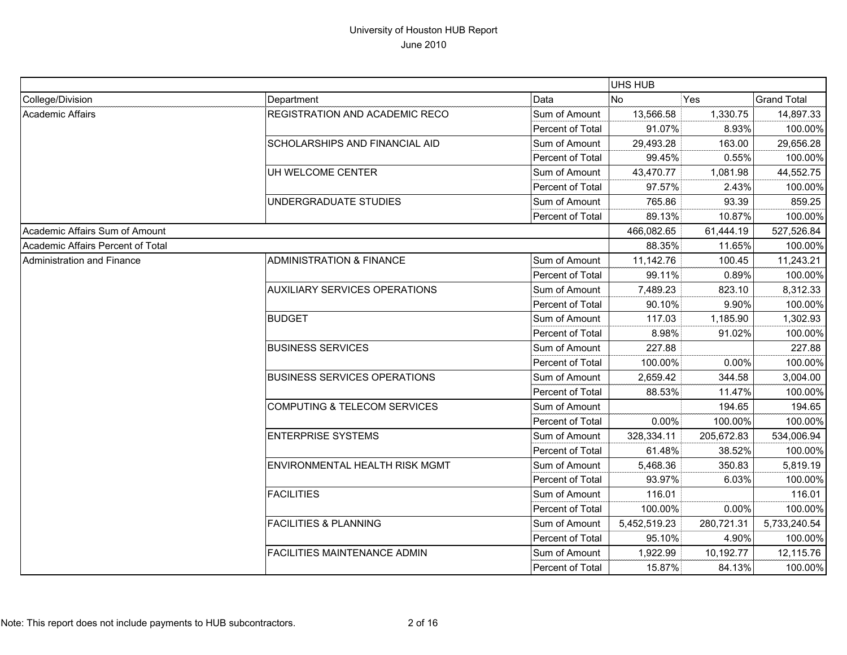|                                   |                                         |                  | UHS HUB      |            |                    |
|-----------------------------------|-----------------------------------------|------------------|--------------|------------|--------------------|
| College/Division                  | Department                              | Data             | No.          | Yes        | <b>Grand Total</b> |
| Academic Affairs                  | <b>REGISTRATION AND ACADEMIC RECO</b>   | Sum of Amount    | 13,566.58    | 1,330.75   | 14,897.33          |
|                                   |                                         | Percent of Total | 91.07%       | 8.93%      | 100.00%            |
|                                   | SCHOLARSHIPS AND FINANCIAL AID          | Sum of Amount    | 29,493.28    | 163.00     | 29,656.28          |
|                                   |                                         | Percent of Total | 99.45%       | 0.55%      | 100.00%            |
|                                   | UH WELCOME CENTER                       | Sum of Amount    | 43,470.77    | 1,081.98   | 44,552.75          |
|                                   |                                         | Percent of Total | 97.57%       | 2.43%      | 100.00%            |
|                                   | UNDERGRADUATE STUDIES                   | Sum of Amount    | 765.86       | 93.39      | 859.25             |
|                                   |                                         | Percent of Total | 89.13%       | 10.87%     | 100.00%            |
| Academic Affairs Sum of Amount    |                                         |                  | 466,082.65   | 61,444.19  | 527,526.84         |
| Academic Affairs Percent of Total |                                         |                  | 88.35%       | 11.65%     | 100.00%            |
| Administration and Finance        | <b>ADMINISTRATION &amp; FINANCE</b>     | Sum of Amount    | 11,142.76    | 100.45     | 11,243.21          |
|                                   |                                         | Percent of Total | 99.11%       | 0.89%      | 100.00%            |
|                                   | <b>AUXILIARY SERVICES OPERATIONS</b>    | Sum of Amount    | 7,489.23     | 823.10     | 8,312.33           |
|                                   |                                         | Percent of Total | 90.10%       | 9.90%      | 100.00%            |
|                                   | <b>BUDGET</b>                           | Sum of Amount    | 117.03       | 1,185.90   | 1,302.93           |
|                                   |                                         | Percent of Total | 8.98%        | 91.02%     | 100.00%            |
|                                   | <b>BUSINESS SERVICES</b>                | Sum of Amount    | 227.88       |            | 227.88             |
|                                   |                                         | Percent of Total | 100.00%      | 0.00%      | 100.00%            |
|                                   | <b>BUSINESS SERVICES OPERATIONS</b>     | Sum of Amount    | 2,659.42     | 344.58     | 3,004.00           |
|                                   |                                         | Percent of Total | 88.53%       | 11.47%     | 100.00%            |
|                                   | <b>COMPUTING &amp; TELECOM SERVICES</b> | Sum of Amount    |              | 194.65     | 194.65             |
|                                   |                                         | Percent of Total | 0.00%        | 100.00%    | 100.00%            |
|                                   | <b>ENTERPRISE SYSTEMS</b>               | Sum of Amount    | 328,334.11   | 205,672.83 | 534,006.94         |
|                                   |                                         | Percent of Total | 61.48%       | 38.52%     | 100.00%            |
|                                   | <b>ENVIRONMENTAL HEALTH RISK MGMT</b>   | Sum of Amount    | 5,468.36     | 350.83     | 5,819.19           |
|                                   |                                         | Percent of Total | 93.97%       | 6.03%      | 100.00%            |
|                                   | <b>FACILITIES</b>                       | Sum of Amount    | 116.01       |            | 116.01             |
|                                   |                                         | Percent of Total | 100.00%      | $0.00\%$   | 100.00%            |
|                                   | <b>FACILITIES &amp; PLANNING</b>        | Sum of Amount    | 5,452,519.23 | 280,721.31 | 5,733,240.54       |
|                                   |                                         | Percent of Total | 95.10%       | 4.90%      | 100.00%            |
|                                   | <b>FACILITIES MAINTENANCE ADMIN</b>     | Sum of Amount    | 1,922.99     | 10,192.77  | 12,115.76          |
|                                   |                                         | Percent of Total | 15.87%       | 84.13%     | 100.00%            |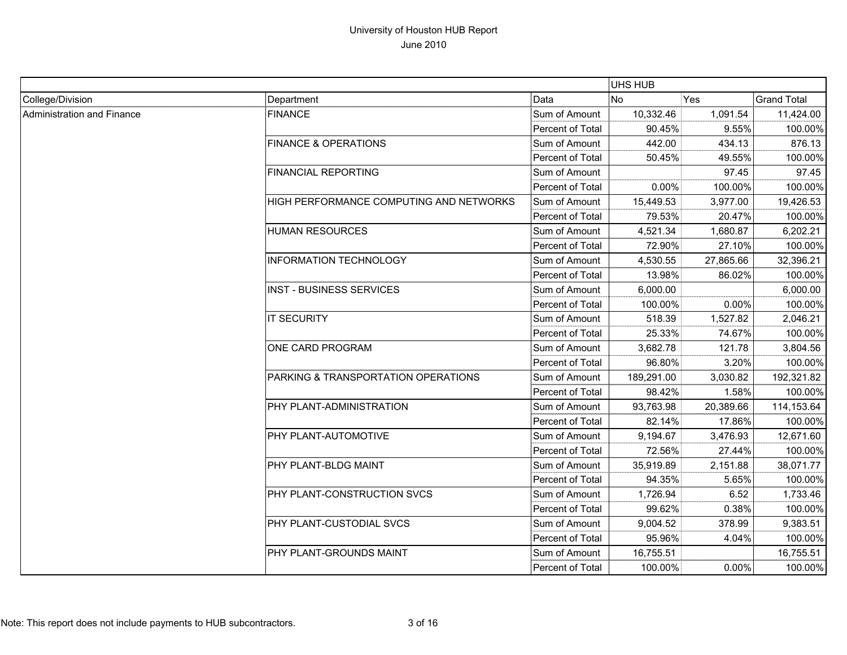|                            |                                         |                  | UHS HUB    |           |                    |
|----------------------------|-----------------------------------------|------------------|------------|-----------|--------------------|
| College/Division           | Department                              | Data             | <b>No</b>  | Yes       | <b>Grand Total</b> |
| Administration and Finance | <b>FINANCE</b>                          | Sum of Amount    | 10,332.46  | 1,091.54  | 11,424.00          |
|                            |                                         | Percent of Total | 90.45%     | 9.55%     | 100.00%            |
|                            | <b>FINANCE &amp; OPERATIONS</b>         | Sum of Amount    | 442.00     | 434.13    | 876.13             |
|                            |                                         | Percent of Total | 50.45%     | 49.55%    | 100.00%            |
|                            | <b>FINANCIAL REPORTING</b>              | Sum of Amount    |            | 97.45     | 97.45              |
|                            |                                         | Percent of Total | 0.00%      | 100.00%   | 100.00%            |
|                            | HIGH PERFORMANCE COMPUTING AND NETWORKS | Sum of Amount    | 15,449.53  | 3,977.00  | 19,426.53          |
|                            |                                         | Percent of Total | 79.53%     | 20.47%    | 100.00%            |
|                            | <b>HUMAN RESOURCES</b>                  | Sum of Amount    | 4,521.34   | 1,680.87  | 6,202.21           |
|                            |                                         | Percent of Total | 72.90%     | 27.10%    | 100.00%            |
|                            | <b>INFORMATION TECHNOLOGY</b>           | Sum of Amount    | 4,530.55   | 27,865.66 | 32,396.21          |
|                            |                                         | Percent of Total | 13.98%     | 86.02%    | 100.00%            |
|                            | <b>INST - BUSINESS SERVICES</b>         | Sum of Amount    | 6,000.00   |           | 6,000.00           |
|                            |                                         | Percent of Total | 100.00%    | 0.00%     | 100.00%            |
|                            | <b>IT SECURITY</b>                      | Sum of Amount    | 518.39     | 1,527.82  | 2,046.21           |
|                            |                                         | Percent of Total | 25.33%     | 74.67%    | 100.00%            |
|                            | ONE CARD PROGRAM                        | Sum of Amount    | 3,682.78   | 121.78    | 3,804.56           |
|                            |                                         | Percent of Total | 96.80%     | 3.20%     | 100.00%            |
|                            | PARKING & TRANSPORTATION OPERATIONS     | Sum of Amount    | 189,291.00 | 3,030.82  | 192,321.82         |
|                            |                                         | Percent of Total | 98.42%     | 1.58%     | 100.00%            |
|                            | PHY PLANT-ADMINISTRATION                | Sum of Amount    | 93,763.98  | 20,389.66 | 114,153.64         |
|                            |                                         | Percent of Total | 82.14%     | 17.86%    | 100.00%            |
|                            | PHY PLANT-AUTOMOTIVE                    | Sum of Amount    | 9,194.67   | 3,476.93  | 12,671.60          |
|                            |                                         | Percent of Total | 72.56%     | 27.44%    | 100.00%            |
|                            | PHY PLANT-BLDG MAINT                    | Sum of Amount    | 35,919.89  | 2,151.88  | 38,071.77          |
|                            |                                         | Percent of Total | 94.35%     | 5.65%     | 100.00%            |
|                            | PHY PLANT-CONSTRUCTION SVCS             | Sum of Amount    | 1,726.94   | 6.52      | 1,733.46           |
|                            |                                         | Percent of Total | 99.62%     | 0.38%     | 100.00%            |
|                            | PHY PLANT-CUSTODIAL SVCS                | Sum of Amount    | 9,004.52   | 378.99    | 9,383.51           |
|                            |                                         | Percent of Total | 95.96%     | 4.04%     | 100.00%            |
|                            | PHY PLANT-GROUNDS MAINT                 | Sum of Amount    | 16,755.51  |           | 16,755.51          |
|                            |                                         | Percent of Total | 100.00%    | 0.00%     | 100.00%            |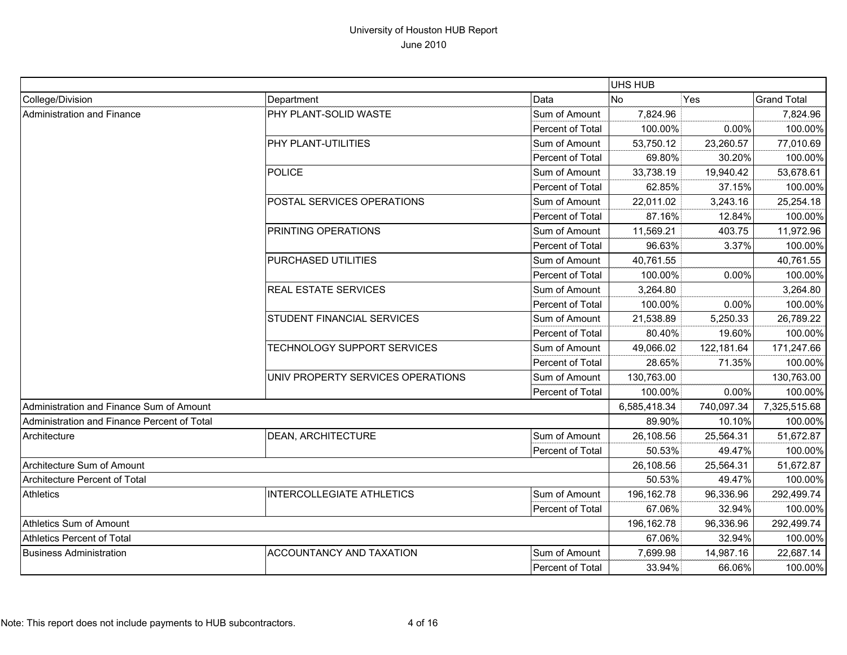|                                             |                                   |                         | <b>UHS HUB</b> |            |                    |
|---------------------------------------------|-----------------------------------|-------------------------|----------------|------------|--------------------|
| College/Division                            | Department                        | Data                    | <b>No</b>      | Yes        | <b>Grand Total</b> |
| <b>Administration and Finance</b>           | PHY PLANT-SOLID WASTE             | Sum of Amount           | 7,824.96       |            | 7,824.96           |
|                                             |                                   | Percent of Total        | 100.00%        | 0.00%      | 100.00%            |
|                                             | <b>PHY PLANT-UTILITIES</b>        | Sum of Amount           | 53,750.12      | 23,260.57  | 77,010.69          |
|                                             |                                   | Percent of Total        | 69.80%         | 30.20%     | 100.00%            |
|                                             | POLICE                            | Sum of Amount           | 33,738.19      | 19,940.42  | 53,678.61          |
|                                             |                                   | Percent of Total        | 62.85%         | 37.15%     | 100.00%            |
|                                             | POSTAL SERVICES OPERATIONS        | Sum of Amount           | 22,011.02      | 3,243.16   | 25,254.18          |
|                                             |                                   | Percent of Total        | 87.16%         | 12.84%     | 100.00%            |
|                                             | <b>PRINTING OPERATIONS</b>        | Sum of Amount           | 11,569.21      | 403.75     | 11,972.96          |
|                                             |                                   | Percent of Total        | 96.63%         | 3.37%      | 100.00%            |
|                                             | PURCHASED UTILITIES               | Sum of Amount           | 40,761.55      |            | 40,761.55          |
|                                             |                                   | Percent of Total        | 100.00%        | 0.00%      | 100.00%            |
|                                             | <b>REAL ESTATE SERVICES</b>       | Sum of Amount           | 3,264.80       |            | 3,264.80           |
|                                             |                                   | Percent of Total        | 100.00%        | 0.00%      | 100.00%            |
|                                             | STUDENT FINANCIAL SERVICES        | Sum of Amount           | 21,538.89      | 5,250.33   | 26,789.22          |
|                                             |                                   | Percent of Total        | 80.40%         | 19.60%     | 100.00%            |
|                                             | TECHNOLOGY SUPPORT SERVICES       | Sum of Amount           | 49,066.02      | 122,181.64 | 171,247.66         |
|                                             |                                   | Percent of Total        | 28.65%         | 71.35%     | 100.00%            |
|                                             | UNIV PROPERTY SERVICES OPERATIONS | Sum of Amount           | 130,763.00     |            | 130,763.00         |
|                                             |                                   | Percent of Total        | 100.00%        | 0.00%      | 100.00%            |
| Administration and Finance Sum of Amount    |                                   |                         | 6,585,418.34   | 740,097.34 | 7,325,515.68       |
| Administration and Finance Percent of Total |                                   |                         | 89.90%         | 10.10%     | 100.00%            |
| Architecture                                | <b>DEAN, ARCHITECTURE</b>         | Sum of Amount           | 26,108.56      | 25,564.31  | 51,672.87          |
|                                             |                                   | Percent of Total        | 50.53%         | 49.47%     | 100.00%            |
| Architecture Sum of Amount                  |                                   |                         | 26,108.56      | 25,564.31  | 51,672.87          |
| Architecture Percent of Total               |                                   |                         | 50.53%         | 49.47%     | 100.00%            |
| Athletics                                   | <b>INTERCOLLEGIATE ATHLETICS</b>  | Sum of Amount           | 196,162.78     | 96,336.96  | 292,499.74         |
|                                             |                                   | Percent of Total        | 67.06%         | 32.94%     | 100.00%            |
| Athletics Sum of Amount                     |                                   |                         | 196,162.78     | 96,336.96  | 292,499.74         |
| <b>Athletics Percent of Total</b>           |                                   |                         | 67.06%         | 32.94%     | 100.00%            |
| <b>Business Administration</b>              | <b>ACCOUNTANCY AND TAXATION</b>   | Sum of Amount           | 7,699.98       | 14,987.16  | 22,687.14          |
|                                             |                                   | <b>Percent of Total</b> | 33.94%         | 66.06%     | 100.00%            |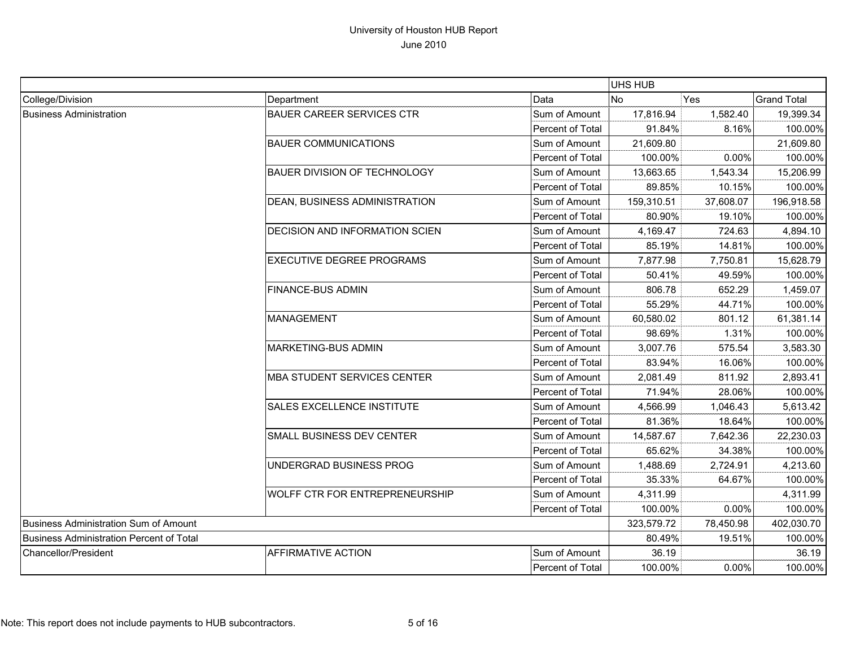|                                                 |                                       |                  | UHS HUB    |           |                    |
|-------------------------------------------------|---------------------------------------|------------------|------------|-----------|--------------------|
| College/Division                                | Department                            | Data             | <b>No</b>  | Yes       | <b>Grand Total</b> |
| <b>Business Administration</b>                  | <b>BAUER CAREER SERVICES CTR</b>      | Sum of Amount    | 17,816.94  | 1,582.40  | 19,399.34          |
|                                                 |                                       | Percent of Total | 91.84%     | 8.16%     | 100.00%            |
|                                                 | <b>BAUER COMMUNICATIONS</b>           | Sum of Amount    | 21,609.80  |           | 21,609.80          |
|                                                 |                                       | Percent of Total | 100.00%    | 0.00%     | 100.00%            |
|                                                 | <b>BAUER DIVISION OF TECHNOLOGY</b>   | Sum of Amount    | 13,663.65  | 1,543.34  | 15,206.99          |
|                                                 |                                       | Percent of Total | 89.85%     | 10.15%    | 100.00%            |
|                                                 | DEAN, BUSINESS ADMINISTRATION         | Sum of Amount    | 159,310.51 | 37,608.07 | 196,918.58         |
|                                                 |                                       | Percent of Total | 80.90%     | 19.10%    | 100.00%            |
|                                                 | DECISION AND INFORMATION SCIEN        | Sum of Amount    | 4,169.47   | 724.63    | 4,894.10           |
|                                                 |                                       | Percent of Total | 85.19%     | 14.81%    | 100.00%            |
|                                                 | <b>EXECUTIVE DEGREE PROGRAMS</b>      | Sum of Amount    | 7,877.98   | 7,750.81  | 15,628.79          |
|                                                 |                                       | Percent of Total | 50.41%     | 49.59%    | 100.00%            |
|                                                 | <b>FINANCE-BUS ADMIN</b>              | Sum of Amount    | 806.78     | 652.29    | 1,459.07           |
|                                                 |                                       | Percent of Total | 55.29%     | 44.71%    | 100.00%            |
|                                                 | <b>MANAGEMENT</b>                     | Sum of Amount    | 60,580.02  | 801.12    | 61,381.14          |
|                                                 |                                       | Percent of Total | 98.69%     | 1.31%     | 100.00%            |
|                                                 | <b>MARKETING-BUS ADMIN</b>            | Sum of Amount    | 3,007.76   | 575.54    | 3,583.30           |
|                                                 |                                       | Percent of Total | 83.94%     | 16.06%    | 100.00%            |
|                                                 | <b>MBA STUDENT SERVICES CENTER</b>    | Sum of Amount    | 2,081.49   | 811.92    | 2,893.41           |
|                                                 |                                       | Percent of Total | 71.94%     | 28.06%    | 100.00%            |
|                                                 | SALES EXCELLENCE INSTITUTE            | Sum of Amount    | 4,566.99   | 1,046.43  | 5,613.42           |
|                                                 |                                       | Percent of Total | 81.36%     | 18.64%    | 100.00%            |
|                                                 | SMALL BUSINESS DEV CENTER             | Sum of Amount    | 14,587.67  | 7,642.36  | 22,230.03          |
|                                                 |                                       | Percent of Total | 65.62%     | 34.38%    | 100.00%            |
|                                                 | UNDERGRAD BUSINESS PROG               | Sum of Amount    | 1,488.69   | 2,724.91  | 4,213.60           |
|                                                 |                                       | Percent of Total | 35.33%     | 64.67%    | 100.00%            |
|                                                 | <b>WOLFF CTR FOR ENTREPRENEURSHIP</b> | Sum of Amount    | 4,311.99   |           | 4,311.99           |
|                                                 |                                       | Percent of Total | 100.00%    | 0.00%     | 100.00%            |
| Business Administration Sum of Amount           |                                       |                  | 323,579.72 | 78,450.98 | 402,030.70         |
| <b>Business Administration Percent of Total</b> |                                       |                  | 80.49%     | 19.51%    | 100.00%            |
| Chancellor/President                            | <b>AFFIRMATIVE ACTION</b>             | Sum of Amount    | 36.19      |           | 36.19              |
|                                                 |                                       | Percent of Total | 100.00%    | 0.00%     | 100.00%            |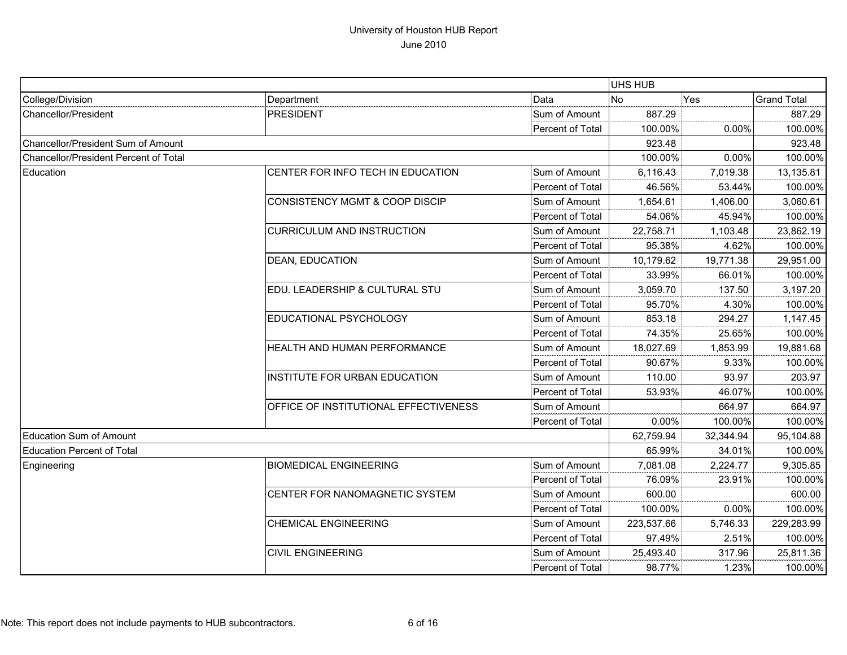|                                       |                                           |                  | UHS HUB    |           |                    |
|---------------------------------------|-------------------------------------------|------------------|------------|-----------|--------------------|
| College/Division                      | Department                                | Data             | <b>No</b>  | Yes       | <b>Grand Total</b> |
| <b>Chancellor/President</b>           | <b>PRESIDENT</b>                          | Sum of Amount    | 887.29     |           | 887.29             |
|                                       |                                           | Percent of Total | 100.00%    | 0.00%     | 100.00%            |
| Chancellor/President Sum of Amount    |                                           |                  | 923.48     |           | 923.48             |
| Chancellor/President Percent of Total |                                           |                  | 100.00%    | 0.00%     | 100.00%            |
| Education                             | CENTER FOR INFO TECH IN EDUCATION         | Sum of Amount    | 6,116.43   | 7,019.38  | 13,135.81          |
|                                       |                                           | Percent of Total | 46.56%     | 53.44%    | 100.00%            |
|                                       | <b>CONSISTENCY MGMT &amp; COOP DISCIP</b> | Sum of Amount    | 1,654.61   | 1,406.00  | 3,060.61           |
|                                       |                                           | Percent of Total | 54.06%     | 45.94%    | 100.00%            |
|                                       | <b>CURRICULUM AND INSTRUCTION</b>         | Sum of Amount    | 22,758.71  | 1,103.48  | 23,862.19          |
|                                       |                                           | Percent of Total | 95.38%     | 4.62%     | 100.00%            |
|                                       | DEAN, EDUCATION                           | Sum of Amount    | 10,179.62  | 19,771.38 | 29,951.00          |
|                                       |                                           | Percent of Total | 33.99%     | 66.01%    | 100.00%            |
|                                       | EDU. LEADERSHIP & CULTURAL STU            | Sum of Amount    | 3,059.70   | 137.50    | 3,197.20           |
|                                       |                                           | Percent of Total | 95.70%     | 4.30%     | 100.00%            |
|                                       | EDUCATIONAL PSYCHOLOGY                    | Sum of Amount    | 853.18     | 294.27    | 1,147.45           |
|                                       |                                           | Percent of Total | 74.35%     | 25.65%    | 100.00%            |
|                                       | HEALTH AND HUMAN PERFORMANCE              | Sum of Amount    | 18,027.69  | 1,853.99  | 19,881.68          |
|                                       |                                           | Percent of Total | 90.67%     | 9.33%     | 100.00%            |
|                                       | INSTITUTE FOR URBAN EDUCATION             | Sum of Amount    | 110.00     | 93.97     | 203.97             |
|                                       |                                           | Percent of Total | 53.93%     | 46.07%    | 100.00%            |
|                                       | OFFICE OF INSTITUTIONAL EFFECTIVENESS     | Sum of Amount    |            | 664.97    | 664.97             |
|                                       |                                           | Percent of Total | 0.00%      | 100.00%   | 100.00%            |
| <b>Education Sum of Amount</b>        |                                           |                  | 62,759.94  | 32,344.94 | 95,104.88          |
| <b>Education Percent of Total</b>     |                                           |                  | 65.99%     | 34.01%    | 100.00%            |
| Engineering                           | <b>BIOMEDICAL ENGINEERING</b>             | Sum of Amount    | 7,081.08   | 2,224.77  | 9,305.85           |
|                                       |                                           | Percent of Total | 76.09%     | 23.91%    | 100.00%            |
|                                       | CENTER FOR NANOMAGNETIC SYSTEM            | Sum of Amount    | 600.00     |           | 600.00             |
|                                       |                                           | Percent of Total | 100.00%    | 0.00%     | 100.00%            |
|                                       | <b>CHEMICAL ENGINEERING</b>               | Sum of Amount    | 223,537.66 | 5,746.33  | 229,283.99         |
|                                       |                                           | Percent of Total | 97.49%     | 2.51%     | 100.00%            |
|                                       | <b>CIVIL ENGINEERING</b>                  | Sum of Amount    | 25,493.40  | 317.96    | 25,811.36          |
|                                       |                                           | Percent of Total | 98.77%     | 1.23%     | 100.00%            |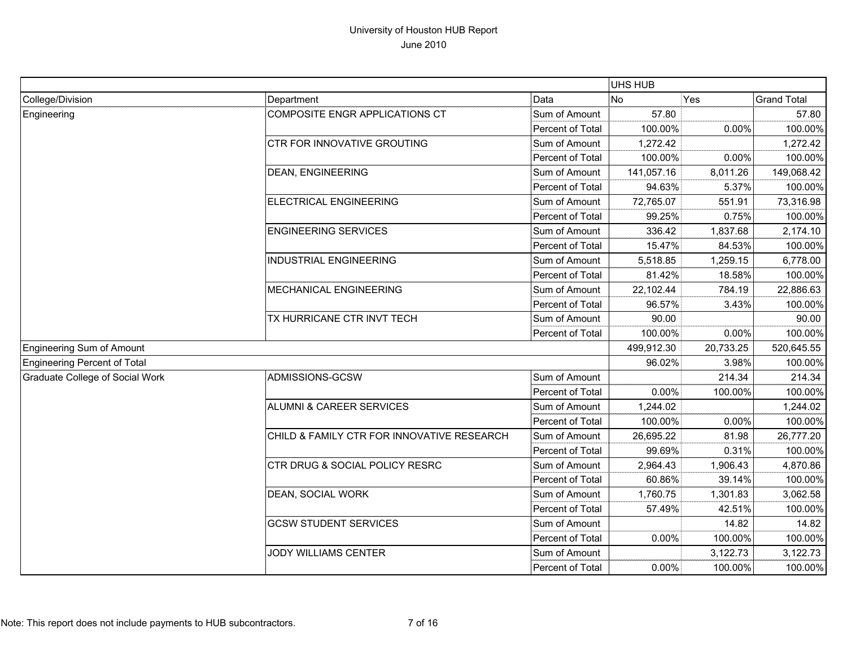|                                  |                                            |                  | UHS HUB    |           |                    |
|----------------------------------|--------------------------------------------|------------------|------------|-----------|--------------------|
| College/Division                 | Department                                 | Data             | <b>No</b>  | Yes       | <b>Grand Total</b> |
| Engineering                      | COMPOSITE ENGR APPLICATIONS CT             | Sum of Amount    | 57.80      |           | 57.80              |
|                                  |                                            | Percent of Total | 100.00%    | 0.00%     | 100.00%            |
|                                  | CTR FOR INNOVATIVE GROUTING                | Sum of Amount    | 1,272.42   |           | 1,272.42           |
|                                  |                                            | Percent of Total | 100.00%    | 0.00%     | 100.00%            |
|                                  | <b>DEAN, ENGINEERING</b>                   | Sum of Amount    | 141,057.16 | 8,011.26  | 149,068.42         |
|                                  |                                            | Percent of Total | 94.63%     | 5.37%     | 100.00%            |
|                                  | ELECTRICAL ENGINEERING                     | Sum of Amount    | 72,765.07  | 551.91    | 73,316.98          |
|                                  |                                            | Percent of Total | 99.25%     | 0.75%     | 100.00%            |
|                                  | <b>ENGINEERING SERVICES</b>                | Sum of Amount    | 336.42     | 1,837.68  | 2,174.10           |
|                                  |                                            | Percent of Total | 15.47%     | 84.53%    | 100.00%            |
|                                  | <b>INDUSTRIAL ENGINEERING</b>              | Sum of Amount    | 5,518.85   | 1,259.15  | 6,778.00           |
|                                  |                                            | Percent of Total | 81.42%     | 18.58%    | 100.00%            |
|                                  | <b>MECHANICAL ENGINEERING</b>              | Sum of Amount    | 22,102.44  | 784.19    | 22,886.63          |
|                                  |                                            | Percent of Total | 96.57%     | 3.43%     | 100.00%            |
|                                  | TX HURRICANE CTR INVT TECH                 | Sum of Amount    | 90.00      |           | 90.00              |
|                                  |                                            | Percent of Total | 100.00%    | 0.00%     | 100.00%            |
| <b>Engineering Sum of Amount</b> |                                            |                  | 499,912.30 | 20,733.25 | 520,645.55         |
| Engineering Percent of Total     |                                            |                  | 96.02%     | 3.98%     | 100.00%            |
| Graduate College of Social Work  | ADMISSIONS-GCSW                            | Sum of Amount    |            | 214.34    | 214.34             |
|                                  |                                            | Percent of Total | 0.00%      | 100.00%   | 100.00%            |
|                                  | ALUMNI & CAREER SERVICES                   | Sum of Amount    | 1,244.02   |           | 1,244.02           |
|                                  |                                            | Percent of Total | 100.00%    | 0.00%     | 100.00%            |
|                                  | CHILD & FAMILY CTR FOR INNOVATIVE RESEARCH | Sum of Amount    | 26,695.22  | 81.98     | 26,777.20          |
|                                  |                                            | Percent of Total | 99.69%     | 0.31%     | 100.00%            |
|                                  | CTR DRUG & SOCIAL POLICY RESRC             | Sum of Amount    | 2,964.43   | 1,906.43  | 4,870.86           |
|                                  |                                            | Percent of Total | 60.86%     | 39.14%    | 100.00%            |
|                                  | DEAN, SOCIAL WORK                          | Sum of Amount    | 1,760.75   | 1,301.83  | 3,062.58           |
|                                  |                                            | Percent of Total | 57.49%     | 42.51%    | 100.00%            |
|                                  | <b>GCSW STUDENT SERVICES</b>               | Sum of Amount    |            | 14.82     | 14.82              |
|                                  |                                            | Percent of Total | 0.00%      | 100.00%   | 100.00%            |
|                                  | JODY WILLIAMS CENTER                       | Sum of Amount    |            | 3,122.73  | 3,122.73           |
|                                  |                                            | Percent of Total | 0.00%      | 100.00%   | 100.00%            |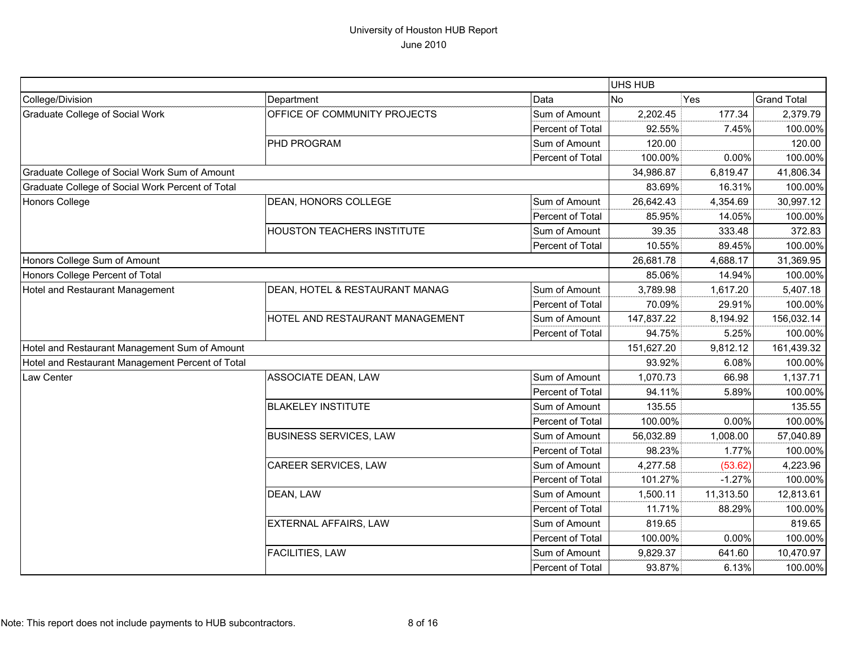|                                                  |                                   |                  | UHS HUB    |           |                    |
|--------------------------------------------------|-----------------------------------|------------------|------------|-----------|--------------------|
| College/Division                                 | Department                        | Data             | No.        | Yes       | <b>Grand Total</b> |
| Graduate College of Social Work                  | OFFICE OF COMMUNITY PROJECTS      | Sum of Amount    | 2,202.45   | 177.34    | 2,379.79           |
|                                                  |                                   | Percent of Total | 92.55%     | 7.45%     | 100.00%            |
|                                                  | PHD PROGRAM                       | Sum of Amount    | 120.00     |           | 120.00             |
|                                                  |                                   | Percent of Total | 100.00%    | 0.00%     | 100.00%            |
| Graduate College of Social Work Sum of Amount    |                                   |                  | 34,986.87  | 6,819.47  | 41,806.34          |
| Graduate College of Social Work Percent of Total |                                   |                  | 83.69%     | 16.31%    | 100.00%            |
| <b>Honors College</b>                            | DEAN, HONORS COLLEGE              | Sum of Amount    | 26,642.43  | 4,354.69  | 30,997.12          |
|                                                  |                                   | Percent of Total | 85.95%     | 14.05%    | 100.00%            |
|                                                  | <b>HOUSTON TEACHERS INSTITUTE</b> | Sum of Amount    | 39.35      | 333.48    | 372.83             |
|                                                  |                                   | Percent of Total | 10.55%     | 89.45%    | 100.00%            |
| Honors College Sum of Amount                     |                                   |                  | 26,681.78  | 4,688.17  | 31,369.95          |
| Honors College Percent of Total                  |                                   |                  | 85.06%     | 14.94%    | 100.00%            |
| Hotel and Restaurant Management                  | DEAN, HOTEL & RESTAURANT MANAG    | Sum of Amount    | 3,789.98   | 1,617.20  | 5,407.18           |
|                                                  |                                   | Percent of Total | 70.09%     | 29.91%    | 100.00%            |
|                                                  | HOTEL AND RESTAURANT MANAGEMENT   | Sum of Amount    | 147,837.22 | 8,194.92  | 156,032.14         |
|                                                  |                                   | Percent of Total | 94.75%     | 5.25%     | 100.00%            |
| Hotel and Restaurant Management Sum of Amount    |                                   |                  | 151,627.20 | 9,812.12  | 161,439.32         |
| Hotel and Restaurant Management Percent of Total |                                   |                  | 93.92%     | 6.08%     | 100.00%            |
| Law Center                                       | <b>ASSOCIATE DEAN, LAW</b>        | Sum of Amount    | 1,070.73   | 66.98     | 1,137.71           |
|                                                  |                                   | Percent of Total | 94.11%     | 5.89%     | 100.00%            |
|                                                  | <b>BLAKELEY INSTITUTE</b>         | Sum of Amount    | 135.55     |           | 135.55             |
|                                                  |                                   | Percent of Total | 100.00%    | 0.00%     | 100.00%            |
|                                                  | <b>BUSINESS SERVICES, LAW</b>     | Sum of Amount    | 56,032.89  | 1,008.00  | 57,040.89          |
|                                                  |                                   | Percent of Total | 98.23%     | 1.77%     | 100.00%            |
|                                                  | <b>CAREER SERVICES, LAW</b>       | Sum of Amount    | 4,277.58   | (53.62)   | 4,223.96           |
|                                                  |                                   | Percent of Total | 101.27%    | $-1.27%$  | 100.00%            |
|                                                  | DEAN, LAW                         | Sum of Amount    | 1,500.11   | 11,313.50 | 12,813.61          |
|                                                  |                                   | Percent of Total | 11.71%     | 88.29%    | 100.00%            |
|                                                  | EXTERNAL AFFAIRS, LAW             | Sum of Amount    | 819.65     |           | 819.65             |
|                                                  |                                   | Percent of Total | 100.00%    | 0.00%     | 100.00%            |
|                                                  | <b>FACILITIES, LAW</b>            | Sum of Amount    | 9,829.37   | 641.60    | 10,470.97          |
|                                                  |                                   | Percent of Total | 93.87%     | 6.13%     | 100.00%            |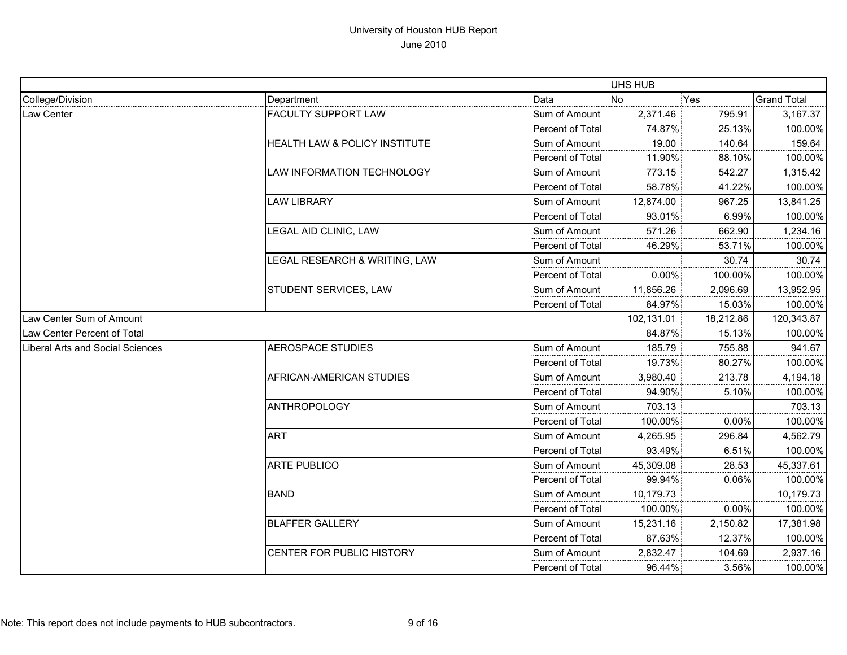|                                         |                               |                  | UHS HUB    |           |                    |
|-----------------------------------------|-------------------------------|------------------|------------|-----------|--------------------|
| College/Division                        | Department                    | Data             | <b>No</b>  | Yes       | <b>Grand Total</b> |
| Law Center                              | <b>FACULTY SUPPORT LAW</b>    | Sum of Amount    | 2,371.46   | 795.91    | 3,167.37           |
|                                         |                               | Percent of Total | 74.87%     | 25.13%    | 100.00%            |
|                                         | HEALTH LAW & POLICY INSTITUTE | Sum of Amount    | 19.00      | 140.64    | 159.64             |
|                                         |                               | Percent of Total | 11.90%     | 88.10%    | 100.00%            |
|                                         | LAW INFORMATION TECHNOLOGY    | Sum of Amount    | 773.15     | 542.27    | 1,315.42           |
|                                         |                               | Percent of Total | 58.78%     | 41.22%    | 100.00%            |
|                                         | <b>LAW LIBRARY</b>            | Sum of Amount    | 12,874.00  | 967.25    | 13,841.25          |
|                                         |                               | Percent of Total | 93.01%     | 6.99%     | 100.00%            |
|                                         | LEGAL AID CLINIC, LAW         | Sum of Amount    | 571.26     | 662.90    | 1,234.16           |
|                                         |                               | Percent of Total | 46.29%     | 53.71%    | 100.00%            |
|                                         | LEGAL RESEARCH & WRITING, LAW | Sum of Amount    |            | 30.74     | 30.74              |
|                                         |                               | Percent of Total | 0.00%      | 100.00%   | 100.00%            |
|                                         | STUDENT SERVICES, LAW         | Sum of Amount    | 11,856.26  | 2,096.69  | 13,952.95          |
|                                         |                               | Percent of Total | 84.97%     | 15.03%    | 100.00%            |
| Law Center Sum of Amount                |                               |                  | 102,131.01 | 18,212.86 | 120,343.87         |
| Law Center Percent of Total             |                               |                  | 84.87%     | 15.13%    | 100.00%            |
| <b>Liberal Arts and Social Sciences</b> | <b>AEROSPACE STUDIES</b>      | Sum of Amount    | 185.79     | 755.88    | 941.67             |
|                                         |                               | Percent of Total | 19.73%     | 80.27%    | 100.00%            |
|                                         | AFRICAN-AMERICAN STUDIES      | Sum of Amount    | 3,980.40   | 213.78    | 4,194.18           |
|                                         |                               | Percent of Total | 94.90%     | 5.10%     | 100.00%            |
|                                         | <b>ANTHROPOLOGY</b>           | Sum of Amount    | 703.13     |           | 703.13             |
|                                         |                               | Percent of Total | 100.00%    | 0.00%     | 100.00%            |
|                                         | <b>ART</b>                    | Sum of Amount    | 4,265.95   | 296.84    | 4,562.79           |
|                                         |                               | Percent of Total | 93.49%     | 6.51%     | 100.00%            |
|                                         | <b>ARTE PUBLICO</b>           | Sum of Amount    | 45,309.08  | 28.53     | 45,337.61          |
|                                         |                               | Percent of Total | 99.94%     | 0.06%     | 100.00%            |
|                                         | <b>BAND</b>                   | Sum of Amount    | 10,179.73  |           | 10,179.73          |
|                                         |                               | Percent of Total | 100.00%    | 0.00%     | 100.00%            |
|                                         | <b>BLAFFER GALLERY</b>        | Sum of Amount    | 15,231.16  | 2,150.82  | 17,381.98          |
|                                         |                               | Percent of Total | 87.63%     | 12.37%    | 100.00%            |
|                                         | CENTER FOR PUBLIC HISTORY     | Sum of Amount    | 2,832.47   | 104.69    | 2,937.16           |
|                                         |                               | Percent of Total | 96.44%     | 3.56%     | 100.00%            |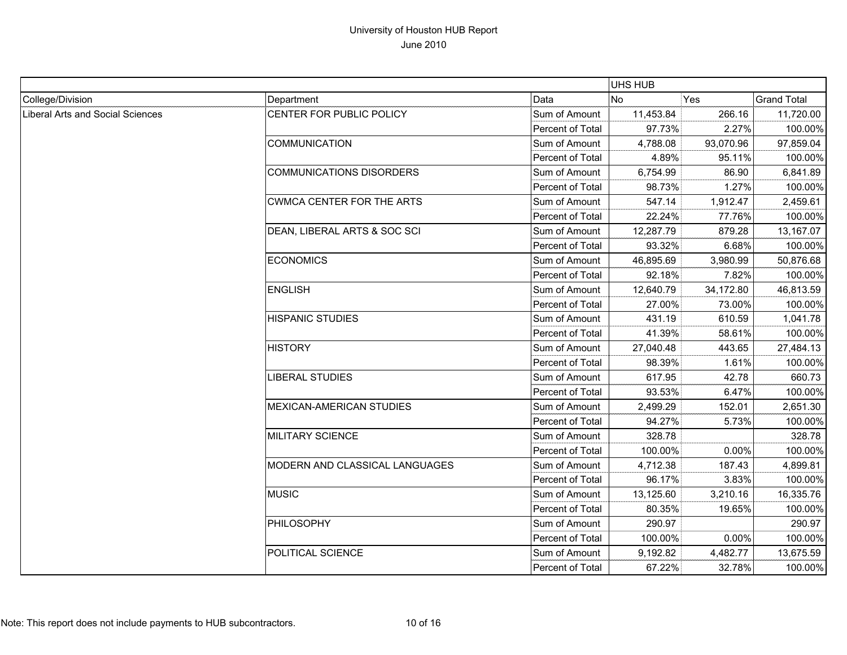|                                  |                                  |                  | UHS HUB   |           |                    |
|----------------------------------|----------------------------------|------------------|-----------|-----------|--------------------|
| College/Division                 | Department                       | Data             | <b>No</b> | Yes       | <b>Grand Total</b> |
| Liberal Arts and Social Sciences | CENTER FOR PUBLIC POLICY         | Sum of Amount    | 11,453.84 | 266.16    | 11,720.00          |
|                                  |                                  | Percent of Total | 97.73%    | 2.27%     | 100.00%            |
|                                  | <b>COMMUNICATION</b>             | Sum of Amount    | 4,788.08  | 93,070.96 | 97,859.04          |
|                                  |                                  | Percent of Total | 4.89%     | 95.11%    | 100.00%            |
|                                  | <b>COMMUNICATIONS DISORDERS</b>  | Sum of Amount    | 6,754.99  | 86.90     | 6,841.89           |
|                                  |                                  | Percent of Total | 98.73%    | 1.27%     | 100.00%            |
|                                  | <b>CWMCA CENTER FOR THE ARTS</b> | Sum of Amount    | 547.14    | 1,912.47  | 2,459.61           |
|                                  |                                  | Percent of Total | 22.24%    | 77.76%    | 100.00%            |
|                                  | DEAN, LIBERAL ARTS & SOC SCI     | Sum of Amount    | 12,287.79 | 879.28    | 13,167.07          |
|                                  |                                  | Percent of Total | 93.32%    | 6.68%     | 100.00%            |
|                                  | <b>ECONOMICS</b>                 | Sum of Amount    | 46,895.69 | 3,980.99  | 50,876.68          |
|                                  |                                  | Percent of Total | 92.18%    | 7.82%     | 100.00%            |
|                                  | <b>ENGLISH</b>                   | Sum of Amount    | 12,640.79 | 34,172.80 | 46,813.59          |
|                                  |                                  | Percent of Total | 27.00%    | 73.00%    | 100.00%            |
|                                  | <b>HISPANIC STUDIES</b>          | Sum of Amount    | 431.19    | 610.59    | 1,041.78           |
|                                  |                                  | Percent of Total | 41.39%    | 58.61%    | 100.00%            |
|                                  | <b>HISTORY</b>                   | Sum of Amount    | 27,040.48 | 443.65    | 27,484.13          |
|                                  |                                  | Percent of Total | 98.39%    | 1.61%     | 100.00%            |
|                                  | LIBERAL STUDIES                  | Sum of Amount    | 617.95    | 42.78     | 660.73             |
|                                  |                                  | Percent of Total | 93.53%    | 6.47%     | 100.00%            |
|                                  | <b>MEXICAN-AMERICAN STUDIES</b>  | Sum of Amount    | 2,499.29  | 152.01    | 2,651.30           |
|                                  |                                  | Percent of Total | 94.27%    | 5.73%     | 100.00%            |
|                                  | <b>MILITARY SCIENCE</b>          | Sum of Amount    | 328.78    |           | 328.78             |
|                                  |                                  | Percent of Total | 100.00%   | 0.00%     | 100.00%            |
|                                  | MODERN AND CLASSICAL LANGUAGES   | Sum of Amount    | 4,712.38  | 187.43    | 4,899.81           |
|                                  |                                  | Percent of Total | 96.17%    | 3.83%     | 100.00%            |
|                                  | <b>MUSIC</b>                     | Sum of Amount    | 13,125.60 | 3,210.16  | 16,335.76          |
|                                  |                                  | Percent of Total | 80.35%    | 19.65%    | 100.00%            |
|                                  | PHILOSOPHY                       | Sum of Amount    | 290.97    |           | 290.97             |
|                                  |                                  | Percent of Total | 100.00%   | 0.00%     | 100.00%            |
|                                  | POLITICAL SCIENCE                | Sum of Amount    | 9,192.82  | 4,482.77  | 13,675.59          |
|                                  |                                  | Percent of Total | 67.22%    | 32.78%    | 100.00%            |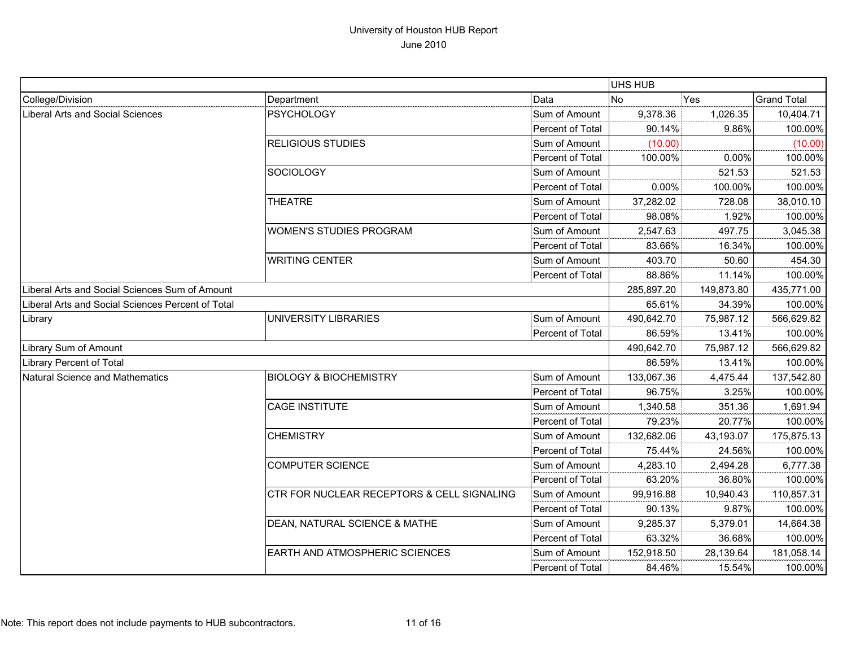|                                                   |                                            |                  | UHS HUB    |            |                    |
|---------------------------------------------------|--------------------------------------------|------------------|------------|------------|--------------------|
| College/Division                                  | Department                                 | Data             | <b>No</b>  | Yes        | <b>Grand Total</b> |
| Liberal Arts and Social Sciences                  | <b>PSYCHOLOGY</b>                          | Sum of Amount    | 9,378.36   | 1,026.35   | 10,404.71          |
|                                                   |                                            | Percent of Total | 90.14%     | 9.86%      | 100.00%            |
|                                                   | <b>RELIGIOUS STUDIES</b>                   | Sum of Amount    | (10.00)    |            | (10.00)            |
|                                                   |                                            | Percent of Total | 100.00%    | 0.00%      | 100.00%            |
|                                                   | SOCIOLOGY                                  | Sum of Amount    |            | 521.53     | 521.53             |
|                                                   |                                            | Percent of Total | 0.00%      | 100.00%    | 100.00%            |
|                                                   | <b>THEATRE</b>                             | Sum of Amount    | 37,282.02  | 728.08     | 38,010.10          |
|                                                   |                                            | Percent of Total | 98.08%     | 1.92%      | 100.00%            |
|                                                   | <b>WOMEN'S STUDIES PROGRAM</b>             | Sum of Amount    | 2,547.63   | 497.75     | 3,045.38           |
|                                                   |                                            | Percent of Total | 83.66%     | 16.34%     | 100.00%            |
|                                                   | <b>WRITING CENTER</b>                      | Sum of Amount    | 403.70     | 50.60      | 454.30             |
|                                                   |                                            | Percent of Total | 88.86%     | 11.14%     | 100.00%            |
| Liberal Arts and Social Sciences Sum of Amount    |                                            |                  | 285,897.20 | 149,873.80 | 435,771.00         |
| Liberal Arts and Social Sciences Percent of Total |                                            |                  | 65.61%     | 34.39%     | 100.00%            |
| Library                                           | UNIVERSITY LIBRARIES                       | Sum of Amount    | 490,642.70 | 75,987.12  | 566,629.82         |
|                                                   |                                            | Percent of Total | 86.59%     | 13.41%     | 100.00%            |
| Library Sum of Amount                             |                                            |                  | 490,642.70 | 75,987.12  | 566,629.82         |
| Library Percent of Total                          |                                            |                  | 86.59%     | 13.41%     | 100.00%            |
| Natural Science and Mathematics                   | <b>BIOLOGY &amp; BIOCHEMISTRY</b>          | Sum of Amount    | 133,067.36 | 4,475.44   | 137,542.80         |
|                                                   |                                            | Percent of Total | 96.75%     | 3.25%      | 100.00%            |
|                                                   | <b>CAGE INSTITUTE</b>                      | Sum of Amount    | 1,340.58   | 351.36     | 1,691.94           |
|                                                   |                                            | Percent of Total | 79.23%     | 20.77%     | 100.00%            |
|                                                   | <b>CHEMISTRY</b>                           | Sum of Amount    | 132,682.06 | 43,193.07  | 175,875.13         |
|                                                   |                                            | Percent of Total | 75.44%     | 24.56%     | 100.00%            |
|                                                   | <b>COMPUTER SCIENCE</b>                    | Sum of Amount    | 4,283.10   | 2,494.28   | 6,777.38           |
|                                                   |                                            | Percent of Total | 63.20%     | 36.80%     | 100.00%            |
|                                                   | CTR FOR NUCLEAR RECEPTORS & CELL SIGNALING | Sum of Amount    | 99,916.88  | 10,940.43  | 110,857.31         |
|                                                   |                                            | Percent of Total | 90.13%     | 9.87%      | 100.00%            |
|                                                   | DEAN, NATURAL SCIENCE & MATHE              | Sum of Amount    | 9,285.37   | 5,379.01   | 14,664.38          |
|                                                   |                                            | Percent of Total | 63.32%     | 36.68%     | 100.00%            |
|                                                   | EARTH AND ATMOSPHERIC SCIENCES             | Sum of Amount    | 152,918.50 | 28,139.64  | 181,058.14         |
|                                                   |                                            | Percent of Total | 84.46%     | 15.54%     | 100.00%            |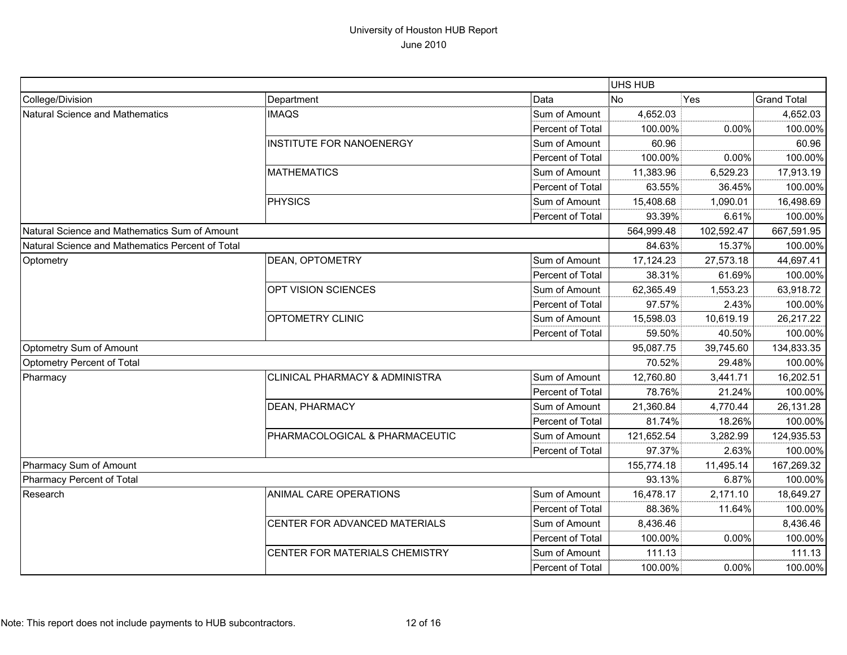|                                                  |                                           |                  | UHS HUB    |            |                    |
|--------------------------------------------------|-------------------------------------------|------------------|------------|------------|--------------------|
| College/Division                                 | Department                                | Data             | No         | Yes        | <b>Grand Total</b> |
| Natural Science and Mathematics                  | <b>IMAQS</b>                              | Sum of Amount    | 4,652.03   |            | 4,652.03           |
|                                                  |                                           | Percent of Total | 100.00%    | 0.00%      | 100.00%            |
|                                                  | <b>INSTITUTE FOR NANOENERGY</b>           | Sum of Amount    | 60.96      |            | 60.96              |
|                                                  |                                           | Percent of Total | 100.00%    | 0.00%      | 100.00%            |
|                                                  | <b>MATHEMATICS</b>                        | Sum of Amount    | 11,383.96  | 6,529.23   | 17,913.19          |
|                                                  |                                           | Percent of Total | 63.55%     | 36.45%     | 100.00%            |
|                                                  | <b>PHYSICS</b>                            | Sum of Amount    | 15,408.68  | 1,090.01   | 16,498.69          |
|                                                  |                                           | Percent of Total | 93.39%     | 6.61%      | 100.00%            |
| Natural Science and Mathematics Sum of Amount    |                                           |                  | 564,999.48 | 102,592.47 | 667,591.95         |
| Natural Science and Mathematics Percent of Total |                                           |                  | 84.63%     | 15.37%     | 100.00%            |
| Optometry                                        | DEAN, OPTOMETRY                           | Sum of Amount    | 17,124.23  | 27,573.18  | 44,697.41          |
|                                                  |                                           | Percent of Total | 38.31%     | 61.69%     | 100.00%            |
|                                                  | OPT VISION SCIENCES                       | Sum of Amount    | 62,365.49  | 1,553.23   | 63,918.72          |
|                                                  |                                           | Percent of Total | 97.57%     | 2.43%      | 100.00%            |
|                                                  | OPTOMETRY CLINIC                          | Sum of Amount    | 15,598.03  | 10,619.19  | 26,217.22          |
|                                                  |                                           | Percent of Total | 59.50%     | 40.50%     | 100.00%            |
| Optometry Sum of Amount                          |                                           |                  | 95,087.75  | 39,745.60  | 134,833.35         |
| Optometry Percent of Total                       |                                           |                  | 70.52%     | 29.48%     | 100.00%            |
| Pharmacy                                         | <b>CLINICAL PHARMACY &amp; ADMINISTRA</b> | Sum of Amount    | 12,760.80  | 3,441.71   | 16,202.51          |
|                                                  |                                           | Percent of Total | 78.76%     | 21.24%     | 100.00%            |
|                                                  | DEAN, PHARMACY                            | Sum of Amount    | 21,360.84  | 4,770.44   | 26,131.28          |
|                                                  |                                           | Percent of Total | 81.74%     | 18.26%     | 100.00%            |
|                                                  | PHARMACOLOGICAL & PHARMACEUTIC            | Sum of Amount    | 121,652.54 | 3,282.99   | 124,935.53         |
|                                                  |                                           | Percent of Total | 97.37%     | 2.63%      | 100.00%            |
| Pharmacy Sum of Amount                           |                                           |                  | 155,774.18 | 11,495.14  | 167,269.32         |
| Pharmacy Percent of Total                        |                                           |                  | 93.13%     | 6.87%      | 100.00%            |
| Research                                         | ANIMAL CARE OPERATIONS                    | Sum of Amount    | 16,478.17  | 2,171.10   | 18,649.27          |
|                                                  |                                           | Percent of Total | 88.36%     | 11.64%     | 100.00%            |
|                                                  | CENTER FOR ADVANCED MATERIALS             | Sum of Amount    | 8,436.46   |            | 8,436.46           |
|                                                  |                                           | Percent of Total | 100.00%    | 0.00%      | 100.00%            |
|                                                  | CENTER FOR MATERIALS CHEMISTRY            | Sum of Amount    | 111.13     |            | 111.13             |
|                                                  |                                           | Percent of Total | 100.00%    | 0.00%      | 100.00%            |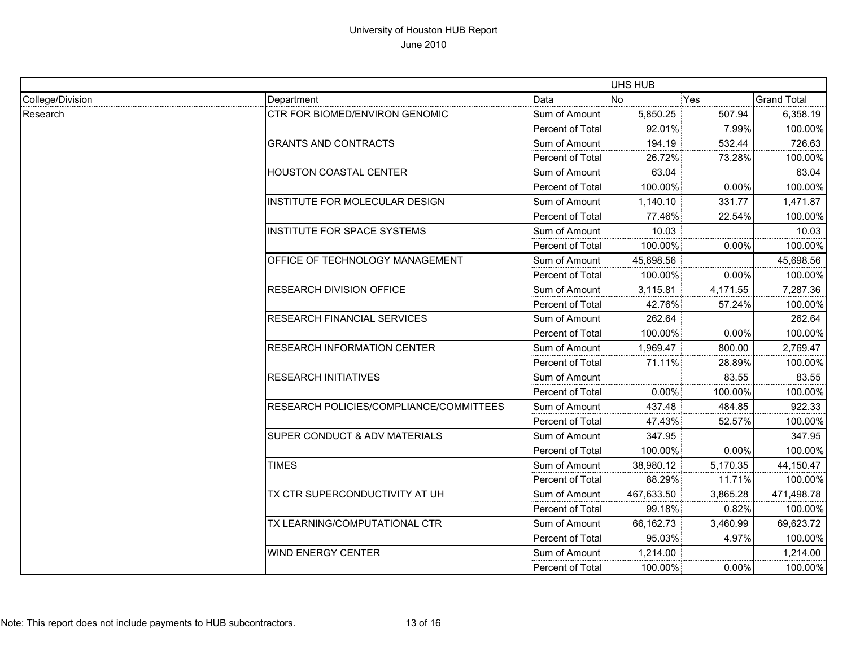|                  |                                          |                         | <b>UHS HUB</b> |          |                    |
|------------------|------------------------------------------|-------------------------|----------------|----------|--------------------|
| College/Division | Department                               | Data                    | <b>No</b>      | Yes      | <b>Grand Total</b> |
| Research         | CTR FOR BIOMED/ENVIRON GENOMIC           | Sum of Amount           | 5,850.25       | 507.94   | 6,358.19           |
|                  |                                          | Percent of Total        | 92.01%         | 7.99%    | 100.00%            |
|                  | <b>GRANTS AND CONTRACTS</b>              | Sum of Amount           | 194.19         | 532.44   | 726.63             |
|                  |                                          | Percent of Total        | 26.72%         | 73.28%   | 100.00%            |
|                  | <b>HOUSTON COASTAL CENTER</b>            | Sum of Amount           | 63.04          |          | 63.04              |
|                  |                                          | Percent of Total        | 100.00%        | 0.00%    | 100.00%            |
|                  | INSTITUTE FOR MOLECULAR DESIGN           | Sum of Amount           | 1,140.10       | 331.77   | 1,471.87           |
|                  |                                          | Percent of Total        | 77.46%         | 22.54%   | 100.00%            |
|                  | <b>INSTITUTE FOR SPACE SYSTEMS</b>       | Sum of Amount           | 10.03          |          | 10.03              |
|                  |                                          | Percent of Total        | 100.00%        | 0.00%    | 100.00%            |
|                  | OFFICE OF TECHNOLOGY MANAGEMENT          | Sum of Amount           | 45,698.56      |          | 45,698.56          |
|                  |                                          | Percent of Total        | 100.00%        | 0.00%    | 100.00%            |
|                  | <b>RESEARCH DIVISION OFFICE</b>          | Sum of Amount           | 3,115.81       | 4,171.55 | 7,287.36           |
|                  |                                          | Percent of Total        | 42.76%         | 57.24%   | 100.00%            |
|                  | <b>RESEARCH FINANCIAL SERVICES</b>       | Sum of Amount           | 262.64         |          | 262.64             |
|                  |                                          | Percent of Total        | 100.00%        | 0.00%    | 100.00%            |
|                  | <b>RESEARCH INFORMATION CENTER</b>       | Sum of Amount           | 1,969.47       | 800.00   | 2,769.47           |
|                  |                                          | <b>Percent of Total</b> | 71.11%         | 28.89%   | 100.00%            |
|                  | <b>RESEARCH INITIATIVES</b>              | Sum of Amount           |                | 83.55    | 83.55              |
|                  |                                          | Percent of Total        | 0.00%          | 100.00%  | 100.00%            |
|                  | RESEARCH POLICIES/COMPLIANCE/COMMITTEES  | Sum of Amount           | 437.48         | 484.85   | 922.33             |
|                  |                                          | <b>Percent of Total</b> | 47.43%         | 52.57%   | 100.00%            |
|                  | <b>SUPER CONDUCT &amp; ADV MATERIALS</b> | Sum of Amount           | 347.95         |          | 347.95             |
|                  |                                          | Percent of Total        | 100.00%        | 0.00%    | 100.00%            |
|                  | <b>TIMES</b>                             | Sum of Amount           | 38,980.12      | 5,170.35 | 44,150.47          |
|                  |                                          | Percent of Total        | 88.29%         | 11.71%   | 100.00%            |
|                  | TX CTR SUPERCONDUCTIVITY AT UH           | Sum of Amount           | 467,633.50     | 3,865.28 | 471,498.78         |
|                  |                                          | Percent of Total        | 99.18%         | 0.82%    | 100.00%            |
|                  | TX LEARNING/COMPUTATIONAL CTR            | Sum of Amount           | 66,162.73      | 3,460.99 | 69,623.72          |
|                  |                                          | Percent of Total        | 95.03%         | 4.97%    | 100.00%            |
|                  | <b>WIND ENERGY CENTER</b>                | Sum of Amount           | 1,214.00       |          | 1,214.00           |
|                  |                                          | Percent of Total        | 100.00%        | 0.00%    | 100.00%            |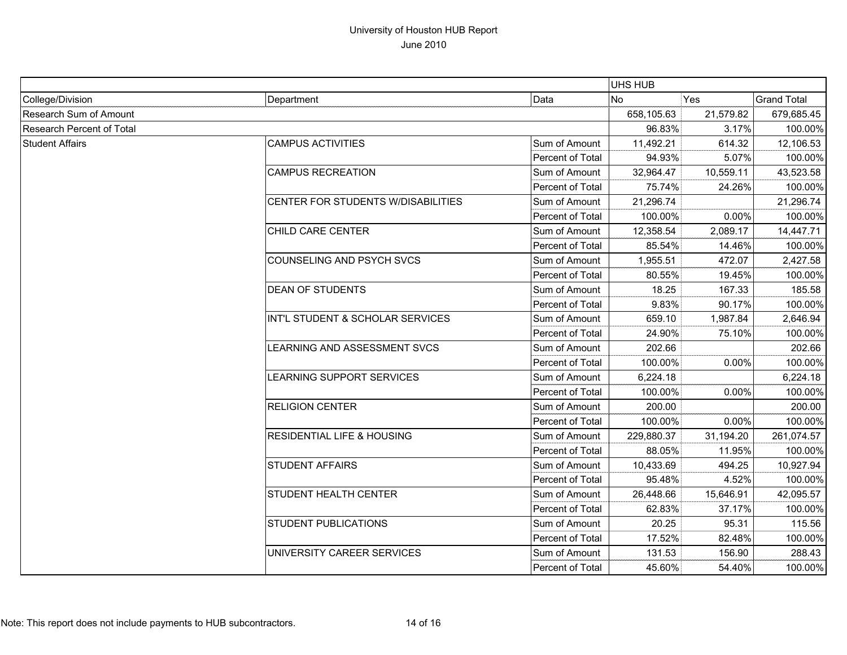|                           |                                           |                  | <b>UHS HUB</b> |            |                    |
|---------------------------|-------------------------------------------|------------------|----------------|------------|--------------------|
| College/Division          | Department                                | Data             | <b>No</b>      | Yes        | <b>Grand Total</b> |
| Research Sum of Amount    |                                           | 658,105.63       | 21,579.82      | 679,685.45 |                    |
| Research Percent of Total |                                           | 96.83%           | 3.17%          | 100.00%    |                    |
| <b>Student Affairs</b>    | <b>CAMPUS ACTIVITIES</b>                  | Sum of Amount    | 11,492.21      | 614.32     | 12,106.53          |
|                           |                                           | Percent of Total | 94.93%         | 5.07%      | 100.00%            |
|                           | <b>CAMPUS RECREATION</b>                  | Sum of Amount    | 32,964.47      | 10,559.11  | 43,523.58          |
|                           |                                           | Percent of Total | 75.74%         | 24.26%     | 100.00%            |
|                           | <b>CENTER FOR STUDENTS W/DISABILITIES</b> | Sum of Amount    | 21,296.74      |            | 21,296.74          |
|                           |                                           | Percent of Total | 100.00%        | 0.00%      | 100.00%            |
|                           | CHILD CARE CENTER                         | Sum of Amount    | 12,358.54      | 2,089.17   | 14,447.71          |
|                           |                                           | Percent of Total | 85.54%         | 14.46%     | 100.00%            |
|                           | COUNSELING AND PSYCH SVCS                 | Sum of Amount    | 1,955.51       | 472.07     | 2,427.58           |
|                           |                                           | Percent of Total | 80.55%         | 19.45%     | 100.00%            |
|                           | <b>DEAN OF STUDENTS</b>                   | Sum of Amount    | 18.25          | 167.33     | 185.58             |
|                           |                                           | Percent of Total | 9.83%          | 90.17%     | 100.00%            |
|                           | INT'L STUDENT & SCHOLAR SERVICES          | Sum of Amount    | 659.10         | 1,987.84   | 2,646.94           |
|                           |                                           | Percent of Total | 24.90%         | 75.10%     | 100.00%            |
|                           | LEARNING AND ASSESSMENT SVCS              | Sum of Amount    | 202.66         |            | 202.66             |
|                           |                                           | Percent of Total | 100.00%        | 0.00%      | 100.00%            |
|                           | LEARNING SUPPORT SERVICES                 | Sum of Amount    | 6,224.18       |            | 6,224.18           |
|                           |                                           | Percent of Total | 100.00%        | 0.00%      | 100.00%            |
|                           | <b>RELIGION CENTER</b>                    | Sum of Amount    | 200.00         |            | 200.00             |
|                           |                                           | Percent of Total | 100.00%        | 0.00%      | 100.00%            |
|                           | <b>RESIDENTIAL LIFE &amp; HOUSING</b>     | Sum of Amount    | 229,880.37     | 31,194.20  | 261,074.57         |
|                           |                                           | Percent of Total | 88.05%         | 11.95%     | 100.00%            |
|                           | <b>STUDENT AFFAIRS</b>                    | Sum of Amount    | 10,433.69      | 494.25     | 10,927.94          |
|                           |                                           | Percent of Total | 95.48%         | 4.52%      | 100.00%            |
|                           | <b>STUDENT HEALTH CENTER</b>              | Sum of Amount    | 26,448.66      | 15,646.91  | 42,095.57          |
|                           |                                           | Percent of Total | 62.83%         | 37.17%     | 100.00%            |
|                           | <b>STUDENT PUBLICATIONS</b>               | Sum of Amount    | 20.25          | 95.31      | 115.56             |
|                           |                                           | Percent of Total | 17.52%         | 82.48%     | 100.00%            |
|                           | UNIVERSITY CAREER SERVICES                | Sum of Amount    | 131.53         | 156.90     | 288.43             |
|                           |                                           | Percent of Total | 45.60%         | 54.40%     | 100.00%            |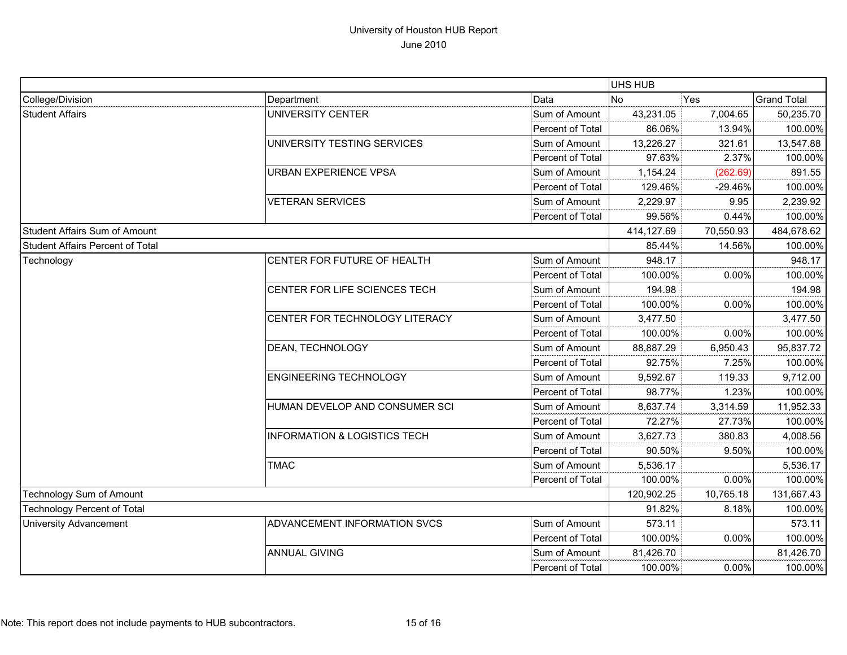|                                    |                                         |                  | UHS HUB    |            |                    |
|------------------------------------|-----------------------------------------|------------------|------------|------------|--------------------|
| College/Division                   | Department                              | Data             | No         | <b>Yes</b> | <b>Grand Total</b> |
| <b>Student Affairs</b>             | UNIVERSITY CENTER                       | Sum of Amount    | 43,231.05  | 7,004.65   | 50,235.70          |
|                                    |                                         | Percent of Total | 86.06%     | 13.94%     | 100.00%            |
|                                    | UNIVERSITY TESTING SERVICES             | Sum of Amount    | 13,226.27  | 321.61     | 13,547.88          |
|                                    |                                         | Percent of Total | 97.63%     | 2.37%      | 100.00%            |
|                                    | <b>URBAN EXPERIENCE VPSA</b>            | Sum of Amount    | 1,154.24   | (262.69)   | 891.55             |
|                                    |                                         | Percent of Total | 129.46%    | $-29.46%$  | 100.00%            |
|                                    | <b>VETERAN SERVICES</b>                 | Sum of Amount    | 2,229.97   | 9.95       | 2,239.92           |
|                                    |                                         | Percent of Total | 99.56%     | 0.44%      | 100.00%            |
| Student Affairs Sum of Amount      |                                         |                  | 414,127.69 | 70,550.93  | 484,678.62         |
| Student Affairs Percent of Total   |                                         |                  | 85.44%     | 14.56%     | 100.00%            |
| Technology                         | CENTER FOR FUTURE OF HEALTH             | Sum of Amount    | 948.17     |            | 948.17             |
|                                    |                                         | Percent of Total | 100.00%    | 0.00%      | 100.00%            |
|                                    | CENTER FOR LIFE SCIENCES TECH           | Sum of Amount    | 194.98     |            | 194.98             |
|                                    |                                         | Percent of Total | 100.00%    | 0.00%      | 100.00%            |
|                                    | CENTER FOR TECHNOLOGY LITERACY          | Sum of Amount    | 3,477.50   |            | 3,477.50           |
|                                    |                                         | Percent of Total | 100.00%    | 0.00%      | 100.00%            |
|                                    | DEAN, TECHNOLOGY                        | Sum of Amount    | 88,887.29  | 6,950.43   | 95,837.72          |
|                                    |                                         | Percent of Total | 92.75%     | 7.25%      | 100.00%            |
|                                    | <b>ENGINEERING TECHNOLOGY</b>           | Sum of Amount    | 9,592.67   | 119.33     | 9,712.00           |
|                                    |                                         | Percent of Total | 98.77%     | 1.23%      | 100.00%            |
|                                    | HUMAN DEVELOP AND CONSUMER SCI          | Sum of Amount    | 8,637.74   | 3,314.59   | 11,952.33          |
|                                    |                                         | Percent of Total | 72.27%     | 27.73%     | 100.00%            |
|                                    | <b>INFORMATION &amp; LOGISTICS TECH</b> | Sum of Amount    | 3,627.73   | 380.83     | 4,008.56           |
|                                    |                                         | Percent of Total | 90.50%     | 9.50%      | 100.00%            |
|                                    | <b>TMAC</b>                             | Sum of Amount    | 5,536.17   |            | 5,536.17           |
|                                    |                                         | Percent of Total | 100.00%    | 0.00%      | 100.00%            |
| Technology Sum of Amount           |                                         | 120,902.25       | 10,765.18  | 131,667.43 |                    |
| <b>Technology Percent of Total</b> |                                         | 91.82%           | 8.18%      | 100.00%    |                    |
| <b>University Advancement</b>      | ADVANCEMENT INFORMATION SVCS            | Sum of Amount    | 573.11     |            | 573.11             |
|                                    |                                         | Percent of Total | 100.00%    | 0.00%      | 100.00%            |
|                                    | <b>ANNUAL GIVING</b>                    | Sum of Amount    | 81,426.70  |            | 81,426.70          |
|                                    |                                         | Percent of Total | 100.00%    | 0.00%      | 100.00%            |